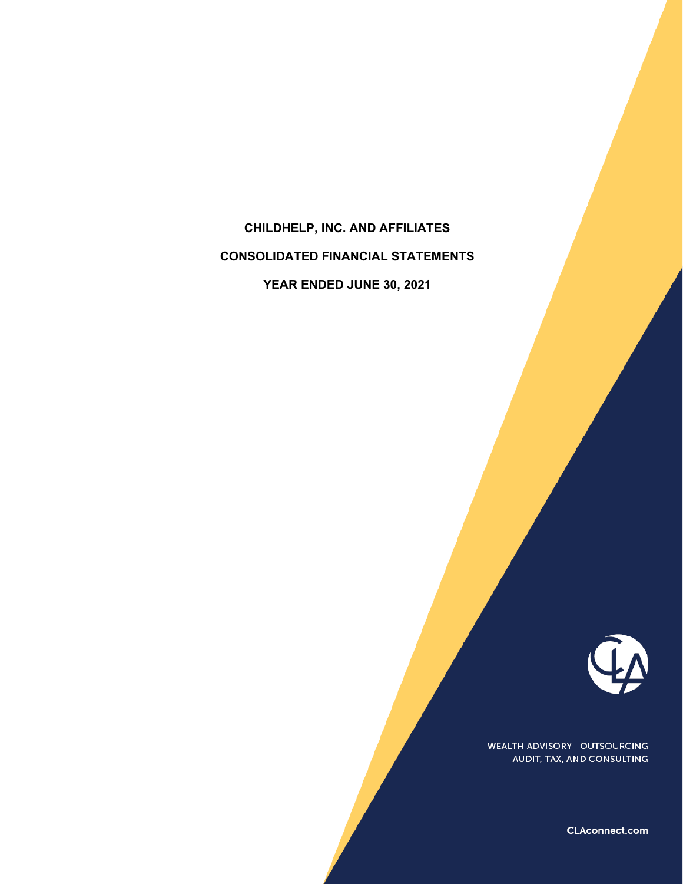# **CHILDHELP, INC. AND AFFILIATES CONSOLIDATED FINANCIAL STATEMENTS YEAR ENDED JUNE 30, 2021**



WEALTH ADVISORY | OUTSOURCING AUDIT, TAX, AND CONSULTING

CLAconnect.com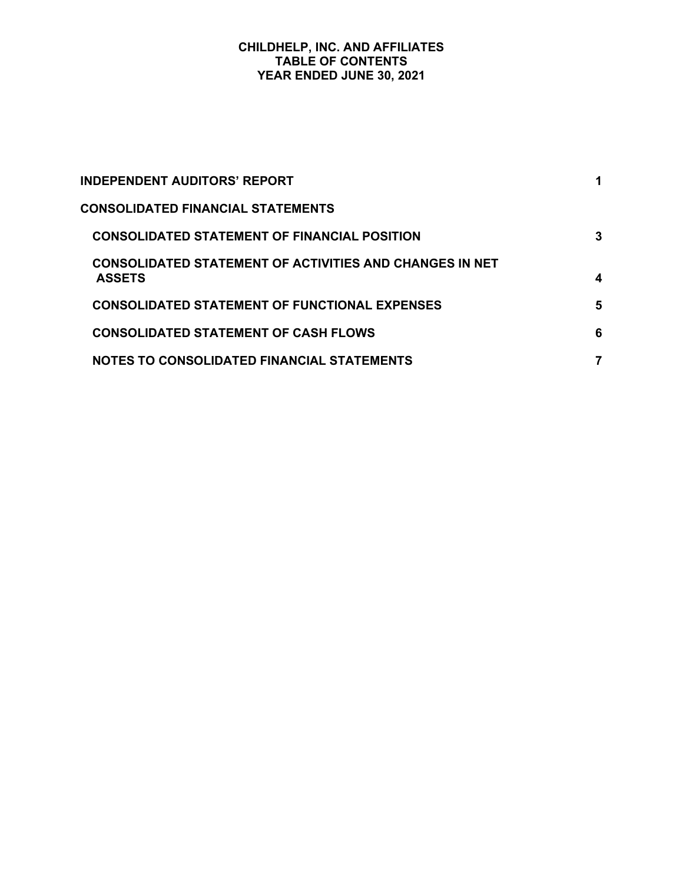# **CHILDHELP, INC. AND AFFILIATES TABLE OF CONTENTS YEAR ENDED JUNE 30, 2021**

| <b>INDEPENDENT AUDITORS' REPORT</b>                                             |   |
|---------------------------------------------------------------------------------|---|
| <b>CONSOLIDATED FINANCIAL STATEMENTS</b>                                        |   |
| <b>CONSOLIDATED STATEMENT OF FINANCIAL POSITION</b>                             | 3 |
| <b>CONSOLIDATED STATEMENT OF ACTIVITIES AND CHANGES IN NET</b><br><b>ASSETS</b> | 4 |
| <b>CONSOLIDATED STATEMENT OF FUNCTIONAL EXPENSES</b>                            | 5 |
| <b>CONSOLIDATED STATEMENT OF CASH FLOWS</b>                                     | 6 |
| NOTES TO CONSOLIDATED FINANCIAL STATEMENTS                                      |   |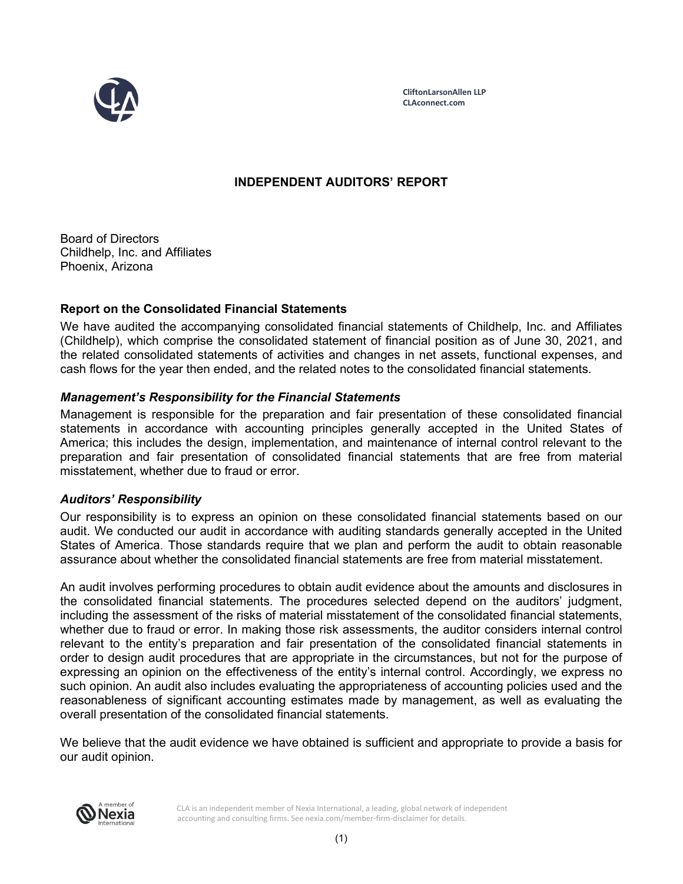

**CliftonLarsonAllen LLP CLAconnect.com**

# **INDEPENDENT AUDITORS' REPORT**

Board of Directors Childhelp, Inc. and Affiliates Phoenix, Arizona

# **Report on the Consolidated Financial Statements**

We have audited the accompanying consolidated financial statements of Childhelp, Inc. and Affiliates (Childhelp), which comprise the consolidated statement of financial position as of June 30, 2021, and the related consolidated statements of activities and changes in net assets, functional expenses, and cash flows for the year then ended, and the related notes to the consolidated financial statements.

## *Management's Responsibility for the Financial Statements*

Management is responsible for the preparation and fair presentation of these consolidated financial statements in accordance with accounting principles generally accepted in the United States of America; this includes the design, implementation, and maintenance of internal control relevant to the preparation and fair presentation of consolidated financial statements that are free from material misstatement, whether due to fraud or error.

## *Auditors' Responsibility*

Our responsibility is to express an opinion on these consolidated financial statements based on our audit. We conducted our audit in accordance with auditing standards generally accepted in the United States of America. Those standards require that we plan and perform the audit to obtain reasonable assurance about whether the consolidated financial statements are free from material misstatement.

An audit involves performing procedures to obtain audit evidence about the amounts and disclosures in the consolidated financial statements. The procedures selected depend on the auditors' judgment, including the assessment of the risks of material misstatement of the consolidated financial statements, whether due to fraud or error. In making those risk assessments, the auditor considers internal control relevant to the entity's preparation and fair presentation of the consolidated financial statements in order to design audit procedures that are appropriate in the circumstances, but not for the purpose of expressing an opinion on the effectiveness of the entity's internal control. Accordingly, we express no such opinion. An audit also includes evaluating the appropriateness of accounting policies used and the reasonableness of significant accounting estimates made by management, as well as evaluating the overall presentation of the consolidated financial statements.

We believe that the audit evidence we have obtained is sufficient and appropriate to provide a basis for our audit opinion.



CLA is an independent member of Nexia International, a leading, global network of independent accounting and consulting firms. See nexia.com/member-firm-disclaimer for details.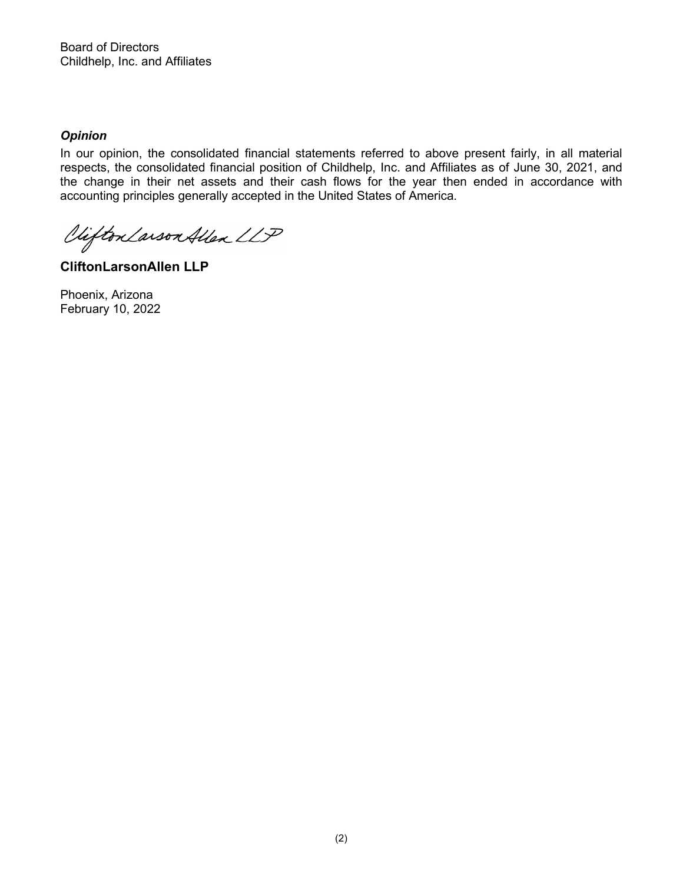Board of Directors Childhelp, Inc. and Affiliates

## *Opinion*

In our opinion, the consolidated financial statements referred to above present fairly, in all material respects, the consolidated financial position of Childhelp, Inc. and Affiliates as of June 30, 2021, and the change in their net assets and their cash flows for the year then ended in accordance with accounting principles generally accepted in the United States of America.

Clifton Larson Allen LLP

**CliftonLarsonAllen LLP**

Phoenix, Arizona February 10, 2022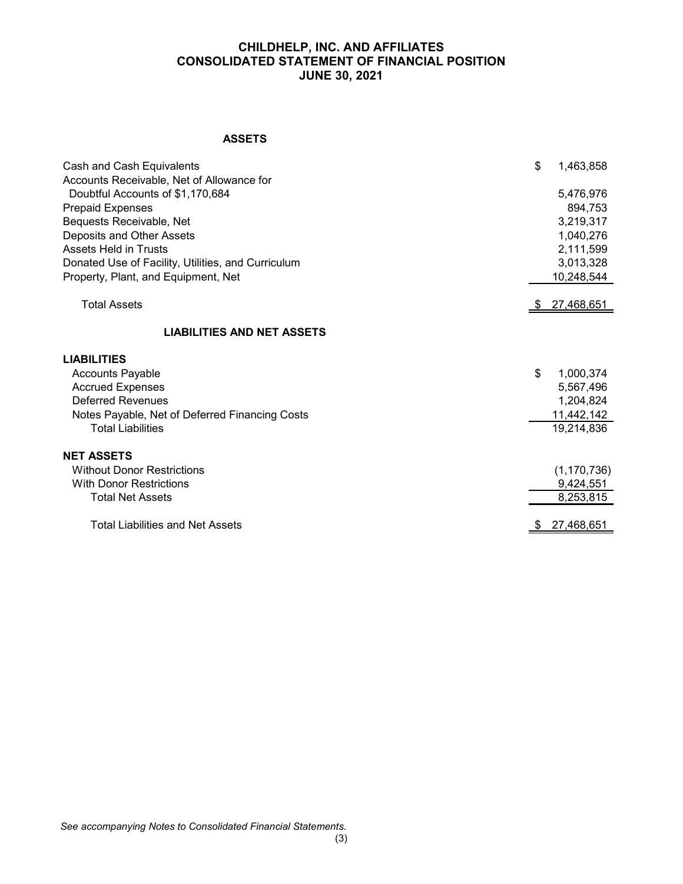# **CHILDHELP, INC. AND AFFILIATES CONSOLIDATED STATEMENT OF FINANCIAL POSITION JUNE 30, 2021**

#### **ASSETS**

| Cash and Cash Equivalents                          | \$<br>1,463,858   |
|----------------------------------------------------|-------------------|
| Accounts Receivable, Net of Allowance for          |                   |
| Doubtful Accounts of \$1,170,684                   | 5,476,976         |
| <b>Prepaid Expenses</b>                            | 894,753           |
| Bequests Receivable, Net                           | 3,219,317         |
| Deposits and Other Assets                          | 1,040,276         |
| Assets Held in Trusts                              | 2,111,599         |
| Donated Use of Facility, Utilities, and Curriculum | 3,013,328         |
| Property, Plant, and Equipment, Net                | 10,248,544        |
| <b>Total Assets</b>                                | <u>27,468,651</u> |
| <b>LIABILITIES AND NET ASSETS</b>                  |                   |
| <b>LIABILITIES</b>                                 |                   |
| <b>Accounts Payable</b>                            | \$<br>1,000,374   |
| <b>Accrued Expenses</b>                            | 5,567,496         |
| <b>Deferred Revenues</b>                           | 1,204,824         |
| Notes Payable, Net of Deferred Financing Costs     | 11,442,142        |
| <b>Total Liabilities</b>                           | 19,214,836        |
| <b>NET ASSETS</b>                                  |                   |
| <b>Without Donor Restrictions</b>                  | (1, 170, 736)     |
| <b>With Donor Restrictions</b>                     | 9,424,551         |
| <b>Total Net Assets</b>                            | 8,253,815         |
| <b>Total Liabilities and Net Assets</b>            | 27,468,651        |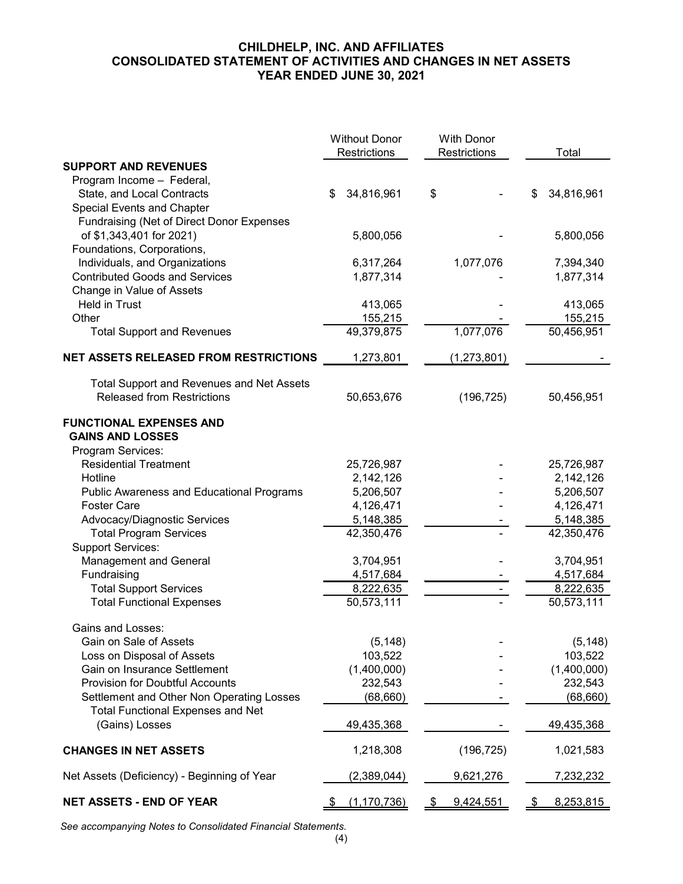# **CHILDHELP, INC. AND AFFILIATES CONSOLIDATED STATEMENT OF ACTIVITIES AND CHANGES IN NET ASSETS YEAR ENDED JUNE 30, 2021**

|                                                                                | <b>Without Donor</b><br>Restrictions | <b>With Donor</b><br>Restrictions | Total            |
|--------------------------------------------------------------------------------|--------------------------------------|-----------------------------------|------------------|
| <b>SUPPORT AND REVENUES</b>                                                    |                                      |                                   |                  |
| Program Income - Federal,                                                      |                                      |                                   |                  |
| State, and Local Contracts                                                     | 34,816,961<br>\$                     | \$                                | \$<br>34,816,961 |
| <b>Special Events and Chapter</b>                                              |                                      |                                   |                  |
| Fundraising (Net of Direct Donor Expenses                                      |                                      |                                   |                  |
| of \$1,343,401 for 2021)                                                       | 5,800,056                            |                                   | 5,800,056        |
| Foundations, Corporations,                                                     |                                      |                                   |                  |
| Individuals, and Organizations                                                 | 6,317,264                            | 1,077,076                         | 7,394,340        |
| <b>Contributed Goods and Services</b>                                          | 1,877,314                            |                                   | 1,877,314        |
| Change in Value of Assets                                                      |                                      |                                   |                  |
| <b>Held in Trust</b>                                                           | 413,065                              |                                   | 413,065          |
| Other                                                                          | 155,215                              |                                   | 155,215          |
| <b>Total Support and Revenues</b>                                              | 49,379,875                           | 1,077,076                         | 50,456,951       |
| NET ASSETS RELEASED FROM RESTRICTIONS                                          | 1,273,801                            | (1, 273, 801)                     |                  |
| <b>Total Support and Revenues and Net Assets</b>                               |                                      |                                   |                  |
| <b>Released from Restrictions</b>                                              | 50,653,676                           | (196, 725)                        | 50,456,951       |
| <b>FUNCTIONAL EXPENSES AND</b><br><b>GAINS AND LOSSES</b><br>Program Services: |                                      |                                   |                  |
| <b>Residential Treatment</b>                                                   | 25,726,987                           |                                   | 25,726,987       |
| Hotline                                                                        | 2,142,126                            |                                   | 2,142,126        |
| <b>Public Awareness and Educational Programs</b>                               | 5,206,507                            |                                   | 5,206,507        |
| <b>Foster Care</b>                                                             | 4,126,471                            |                                   | 4,126,471        |
| Advocacy/Diagnostic Services                                                   |                                      |                                   |                  |
|                                                                                | 5,148,385                            |                                   | 5,148,385        |
| <b>Total Program Services</b>                                                  | 42,350,476                           |                                   | 42,350,476       |
| <b>Support Services:</b>                                                       | 3,704,951                            |                                   | 3,704,951        |
| <b>Management and General</b><br>Fundraising                                   |                                      |                                   |                  |
| <b>Total Support Services</b>                                                  | 4,517,684                            |                                   | 4,517,684        |
| <b>Total Functional Expenses</b>                                               | 8,222,635<br>50,573,111              |                                   | 8,222,635        |
|                                                                                |                                      |                                   | 50,573,111       |
| Gains and Losses:                                                              |                                      |                                   |                  |
| Gain on Sale of Assets                                                         | (5, 148)                             |                                   | (5, 148)         |
| Loss on Disposal of Assets                                                     | 103,522                              |                                   | 103,522          |
| Gain on Insurance Settlement                                                   | (1,400,000)                          |                                   | (1,400,000)      |
| <b>Provision for Doubtful Accounts</b>                                         | 232,543                              |                                   | 232,543          |
| Settlement and Other Non Operating Losses                                      | (68, 660)                            |                                   | (68, 660)        |
| <b>Total Functional Expenses and Net</b><br>(Gains) Losses                     | 49,435,368                           |                                   | 49,435,368       |
| <b>CHANGES IN NET ASSETS</b>                                                   | 1,218,308                            | (196, 725)                        | 1,021,583        |
|                                                                                |                                      |                                   |                  |
| Net Assets (Deficiency) - Beginning of Year                                    | (2,389,044)                          | 9,621,276                         | 7,232,232        |
| <b>NET ASSETS - END OF YEAR</b>                                                | (1, 170, 736)<br>\$                  | \$<br>9,424,551                   | \$<br>8,253,815  |

*See accompanying Notes to Consolidated Financial Statements.*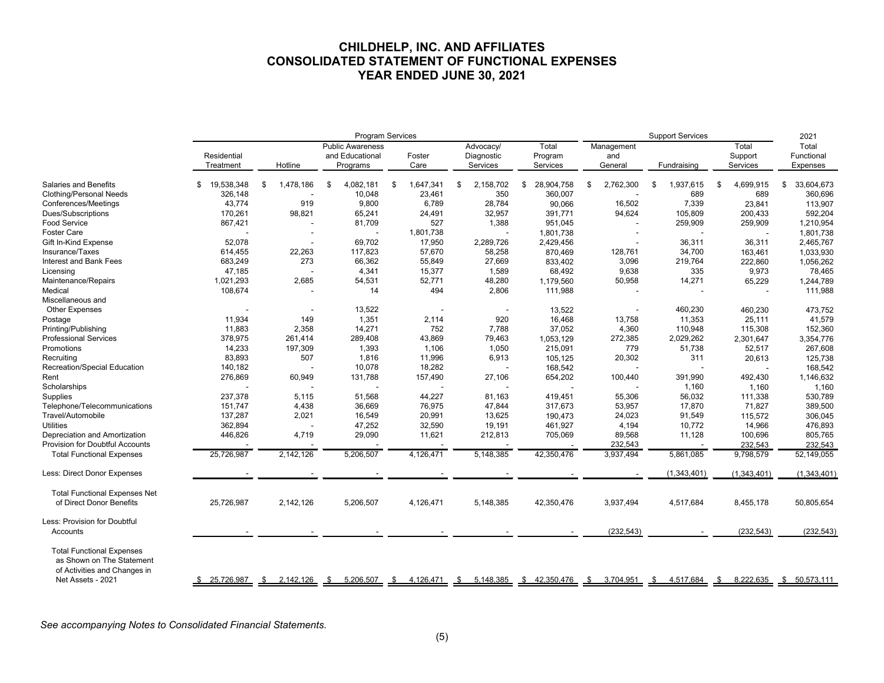#### **CHILDHELP, INC. AND AFFILIATES CONSOLIDATED STATEMENT OF FUNCTIONAL EXPENSES YEAR ENDED JUNE 30, 2021**

|                                                                                               |                          |                 | <b>Program Services</b>                                |                           |                                     |                              |                              | <b>Support Services</b>         |                              | 2021                            |
|-----------------------------------------------------------------------------------------------|--------------------------|-----------------|--------------------------------------------------------|---------------------------|-------------------------------------|------------------------------|------------------------------|---------------------------------|------------------------------|---------------------------------|
|                                                                                               | Residential<br>Treatment | Hotline         | <b>Public Awareness</b><br>and Educational<br>Programs | Foster<br>Care            | Advocacy/<br>Diagnostic<br>Services | Total<br>Program<br>Services | Management<br>and<br>General | Fundraising                     | Total<br>Support<br>Services | Total<br>Functional<br>Expenses |
| <b>Salaries and Benefits</b>                                                                  | 19,538,348<br>\$         | \$<br>1,478,186 | 4,082,181<br>\$                                        | 1,647,341<br>\$           | \$<br>2,158,702                     | 28,904,758<br>\$             | \$<br>2,762,300              | 1,937,615<br>\$                 | 4,699,915<br>\$              | 33,604,673<br>\$                |
| <b>Clothing/Personal Needs</b>                                                                | 326,148                  |                 | 10,048                                                 | 23,461                    | 350                                 | 360,007                      |                              | 689                             | 689                          | 360,696                         |
| Conferences/Meetings                                                                          | 43,774                   | 919             | 9,800                                                  | 6,789                     | 28,784                              | 90,066                       | 16,502                       | 7,339                           | 23,841                       | 113,907                         |
| Dues/Subscriptions                                                                            | 170,261                  | 98,821          | 65,241                                                 | 24,491                    | 32,957                              | 391,771                      | 94,624                       | 105,809                         | 200,433                      | 592,204                         |
| Food Service                                                                                  | 867,421                  |                 | 81,709                                                 | 527                       | 1,388                               | 951,045                      |                              | 259,909                         | 259,909                      | 1,210,954                       |
| <b>Foster Care</b>                                                                            |                          |                 |                                                        | 1,801,738                 |                                     | 1,801,738                    |                              |                                 |                              | 1,801,738                       |
| Gift In-Kind Expense                                                                          | 52,078                   |                 | 69,702                                                 | 17,950                    | 2,289,726                           | 2,429,456                    |                              | 36,311                          | 36,311                       | 2,465,767                       |
| Insurance/Taxes                                                                               | 614,455                  | 22,263          | 117,823                                                | 57,670                    | 58,258                              | 870,469                      | 128,761                      | 34,700                          | 163,461                      | 1,033,930                       |
| Interest and Bank Fees                                                                        | 683,249                  | 273             | 66,362                                                 | 55,849                    | 27,669                              | 833,402                      | 3,096                        | 219,764                         | 222,860                      | 1,056,262                       |
| Licensing                                                                                     | 47,185                   |                 | 4,341                                                  | 15,377                    | 1,589                               | 68,492                       | 9,638                        | 335                             | 9,973                        | 78,465                          |
| Maintenance/Repairs                                                                           | 1,021,293                | 2,685           | 54,531                                                 | 52,771                    | 48,280                              | 1,179,560                    | 50,958                       | 14,271                          | 65,229                       | 1,244,789                       |
| Medical                                                                                       | 108,674                  |                 | 14                                                     | 494                       | 2,806                               | 111,988                      |                              |                                 |                              | 111,988                         |
| Miscellaneous and                                                                             |                          |                 |                                                        |                           |                                     |                              |                              |                                 |                              |                                 |
| <b>Other Expenses</b>                                                                         |                          |                 | 13,522                                                 |                           |                                     | 13,522                       |                              | 460,230                         | 460,230                      | 473,752                         |
| Postage                                                                                       | 11,934                   | 149             | 1,351                                                  | 2,114                     | 920                                 | 16,468                       | 13,758                       | 11,353                          | 25,111                       | 41,579                          |
| Printing/Publishing                                                                           | 11,883                   | 2,358           | 14,271                                                 | 752                       | 7,788                               | 37,052                       | 4,360                        | 110,948                         | 115,308                      | 152,360                         |
| <b>Professional Services</b>                                                                  | 378,975                  | 261,414         | 289,408                                                | 43,869                    | 79,463                              | 1,053,129                    | 272,385                      | 2,029,262                       | 2,301,647                    | 3,354,776                       |
| Promotions                                                                                    | 14,233                   | 197,309         | 1,393                                                  | 1,106                     | 1,050                               | 215,091                      | 779                          | 51,738                          | 52,517                       | 267,608                         |
| Recruiting                                                                                    | 83,893                   | 507             | 1,816                                                  | 11,996                    | 6,913                               | 105,125                      | 20,302                       | 311                             | 20,613                       | 125,738                         |
| Recreation/Special Education                                                                  | 140,182                  |                 | 10,078                                                 | 18,282                    |                                     | 168,542                      |                              |                                 |                              | 168,542                         |
| Rent                                                                                          | 276,869                  | 60,949          | 131,788                                                | 157,490                   | 27,106                              | 654,202                      | 100,440                      | 391,990                         | 492,430                      | 1,146,632                       |
| Scholarships                                                                                  |                          |                 |                                                        |                           |                                     |                              |                              | 1,160                           | 1,160                        | 1,160                           |
| Supplies                                                                                      | 237,378                  | 5,115           | 51,568                                                 | 44,227                    | 81,163                              | 419,451                      | 55,306                       | 56,032                          | 111,338                      | 530,789                         |
| Telephone/Telecommunications                                                                  | 151,747                  | 4,438           | 36,669                                                 | 76,975                    | 47,844                              | 317,673                      | 53,957                       | 17,870                          | 71,827                       | 389,500                         |
| Travel/Automobile                                                                             | 137,287                  | 2,021           | 16,549                                                 | 20,991                    | 13,625                              | 190,473                      | 24,023                       | 91,549                          | 115,572                      | 306,045                         |
| <b>Utilities</b>                                                                              | 362,894                  |                 | 47,252                                                 | 32,590                    | 19,191                              | 461,927                      | 4,194                        | 10,772                          | 14,966                       | 476,893                         |
| Depreciation and Amortization                                                                 | 446,826                  | 4,719           | 29,090                                                 | 11,621                    | 212,813                             | 705,069                      | 89,568                       | 11,128                          | 100,696                      | 805,765                         |
| Provision for Doubtful Accounts                                                               |                          |                 |                                                        |                           |                                     |                              | 232,543                      |                                 | 232,543                      | 232,543                         |
| <b>Total Functional Expenses</b>                                                              | 25,726,987               | 2,142,126       | 5,206,507                                              | 4,126,471                 | 5,148,385                           | 42,350,476                   | 3,937,494                    | 5,861,085                       | 9,798,579                    | 52,149,055                      |
| Less: Direct Donor Expenses                                                                   |                          |                 |                                                        |                           |                                     |                              |                              | (1,343,401)                     | (1,343,401)                  | (1,343,401)                     |
| <b>Total Functional Expenses Net</b>                                                          |                          |                 |                                                        |                           |                                     |                              |                              |                                 |                              |                                 |
| of Direct Donor Benefits                                                                      | 25,726,987               | 2,142,126       | 5,206,507                                              | 4,126,471                 | 5,148,385                           | 42,350,476                   | 3,937,494                    | 4,517,684                       | 8,455,178                    | 50,805,654                      |
| Less: Provision for Doubtful                                                                  |                          |                 |                                                        |                           |                                     |                              |                              |                                 |                              |                                 |
| Accounts                                                                                      |                          |                 |                                                        |                           |                                     |                              | (232, 543)                   |                                 | (232, 543)                   | (232, 543)                      |
| <b>Total Functional Expenses</b><br>as Shown on The Statement<br>of Activities and Changes in |                          |                 |                                                        |                           |                                     |                              |                              |                                 |                              |                                 |
| Net Assets - 2021                                                                             | 25,726,987               | 2,142,126<br>\$ | 5,206,507<br>$\mathbf{\$}$                             | 4,126,471<br>$\mathbf{s}$ | 5,148,385<br><u>_\$</u>             | \$42,350,476                 | $\sqrt{2}$<br>3,704,951      | 4,517,684<br>$\mathbf{\hat{s}}$ | 8,222,635<br>$\mathbf{s}$    | \$50,573,111                    |

*See accompanying Notes to Consolidated Financial Statements.*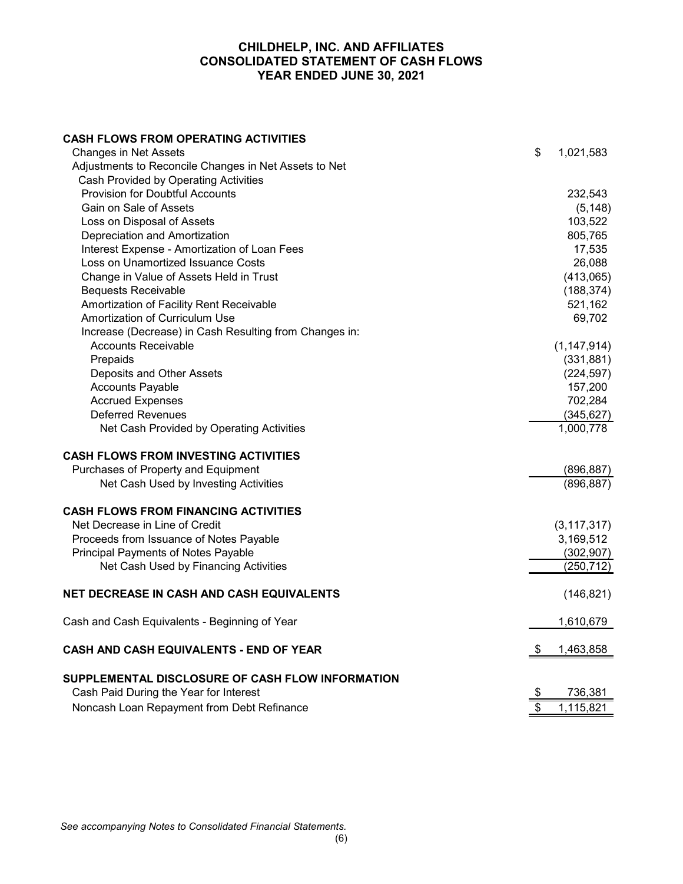# **CHILDHELP, INC. AND AFFILIATES CONSOLIDATED STATEMENT OF CASH FLOWS YEAR ENDED JUNE 30, 2021**

| <b>CASH FLOWS FROM OPERATING ACTIVITIES</b>            |                 |
|--------------------------------------------------------|-----------------|
| <b>Changes in Net Assets</b>                           | \$<br>1,021,583 |
| Adjustments to Reconcile Changes in Net Assets to Net  |                 |
| Cash Provided by Operating Activities                  |                 |
| <b>Provision for Doubtful Accounts</b>                 | 232,543         |
| Gain on Sale of Assets                                 | (5, 148)        |
| Loss on Disposal of Assets                             | 103,522         |
| Depreciation and Amortization                          | 805,765         |
| Interest Expense - Amortization of Loan Fees           | 17,535          |
| Loss on Unamortized Issuance Costs                     | 26,088          |
| Change in Value of Assets Held in Trust                | (413,065)       |
| <b>Bequests Receivable</b>                             | (188, 374)      |
| Amortization of Facility Rent Receivable               | 521,162         |
| Amortization of Curriculum Use                         | 69,702          |
| Increase (Decrease) in Cash Resulting from Changes in: |                 |
| <b>Accounts Receivable</b>                             | (1, 147, 914)   |
| Prepaids                                               | (331, 881)      |
| Deposits and Other Assets                              | (224, 597)      |
| <b>Accounts Payable</b>                                | 157,200         |
| <b>Accrued Expenses</b>                                | 702,284         |
| <b>Deferred Revenues</b>                               | (345, 627)      |
| Net Cash Provided by Operating Activities              | 1,000,778       |
| <b>CASH FLOWS FROM INVESTING ACTIVITIES</b>            |                 |
| Purchases of Property and Equipment                    | (896, 887)      |
| Net Cash Used by Investing Activities                  | (896, 887)      |
| <b>CASH FLOWS FROM FINANCING ACTIVITIES</b>            |                 |
| Net Decrease in Line of Credit                         | (3, 117, 317)   |
| Proceeds from Issuance of Notes Payable                | 3,169,512       |
| <b>Principal Payments of Notes Payable</b>             | (302, 907)      |
| Net Cash Used by Financing Activities                  | (250, 712)      |
| NET DECREASE IN CASH AND CASH EQUIVALENTS              | (146, 821)      |
| Cash and Cash Equivalents - Beginning of Year          | 1,610,679       |
| <b>CASH AND CASH EQUIVALENTS - END OF YEAR</b>         | \$<br>1,463,858 |
| SUPPLEMENTAL DISCLOSURE OF CASH FLOW INFORMATION       |                 |
| Cash Paid During the Year for Interest                 | 736,381         |
| Noncash Loan Repayment from Debt Refinance             | \$<br>1,115,821 |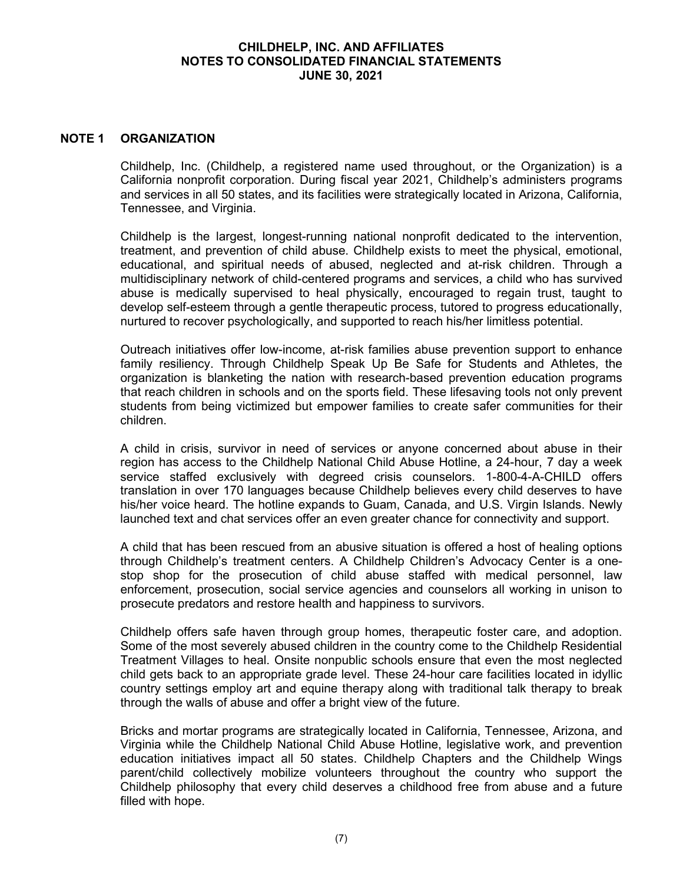#### **NOTE 1 ORGANIZATION**

Childhelp, Inc. (Childhelp, a registered name used throughout, or the Organization) is a California nonprofit corporation. During fiscal year 2021, Childhelp's administers programs and services in all 50 states, and its facilities were strategically located in Arizona, California, Tennessee, and Virginia.

Childhelp is the largest, longest-running national nonprofit dedicated to the intervention, treatment, and prevention of child abuse. Childhelp exists to meet the physical, emotional, educational, and spiritual needs of abused, neglected and at-risk children. Through a multidisciplinary network of child-centered programs and services, a child who has survived abuse is medically supervised to heal physically, encouraged to regain trust, taught to develop self-esteem through a gentle therapeutic process, tutored to progress educationally, nurtured to recover psychologically, and supported to reach his/her limitless potential.

Outreach initiatives offer low-income, at-risk families abuse prevention support to enhance family resiliency. Through Childhelp Speak Up Be Safe for Students and Athletes, the organization is blanketing the nation with research-based prevention education programs that reach children in schools and on the sports field. These lifesaving tools not only prevent students from being victimized but empower families to create safer communities for their children.

A child in crisis, survivor in need of services or anyone concerned about abuse in their region has access to the Childhelp National Child Abuse Hotline, a 24-hour, 7 day a week service staffed exclusively with degreed crisis counselors. 1-800-4-A-CHILD offers translation in over 170 languages because Childhelp believes every child deserves to have his/her voice heard. The hotline expands to Guam, Canada, and U.S. Virgin Islands. Newly launched text and chat services offer an even greater chance for connectivity and support.

A child that has been rescued from an abusive situation is offered a host of healing options through Childhelp's treatment centers. A Childhelp Children's Advocacy Center is a onestop shop for the prosecution of child abuse staffed with medical personnel, law enforcement, prosecution, social service agencies and counselors all working in unison to prosecute predators and restore health and happiness to survivors.

Childhelp offers safe haven through group homes, therapeutic foster care, and adoption. Some of the most severely abused children in the country come to the Childhelp Residential Treatment Villages to heal. Onsite nonpublic schools ensure that even the most neglected child gets back to an appropriate grade level. These 24-hour care facilities located in idyllic country settings employ art and equine therapy along with traditional talk therapy to break through the walls of abuse and offer a bright view of the future.

Bricks and mortar programs are strategically located in California, Tennessee, Arizona, and Virginia while the Childhelp National Child Abuse Hotline, legislative work, and prevention education initiatives impact all 50 states. Childhelp Chapters and the Childhelp Wings parent/child collectively mobilize volunteers throughout the country who support the Childhelp philosophy that every child deserves a childhood free from abuse and a future filled with hope.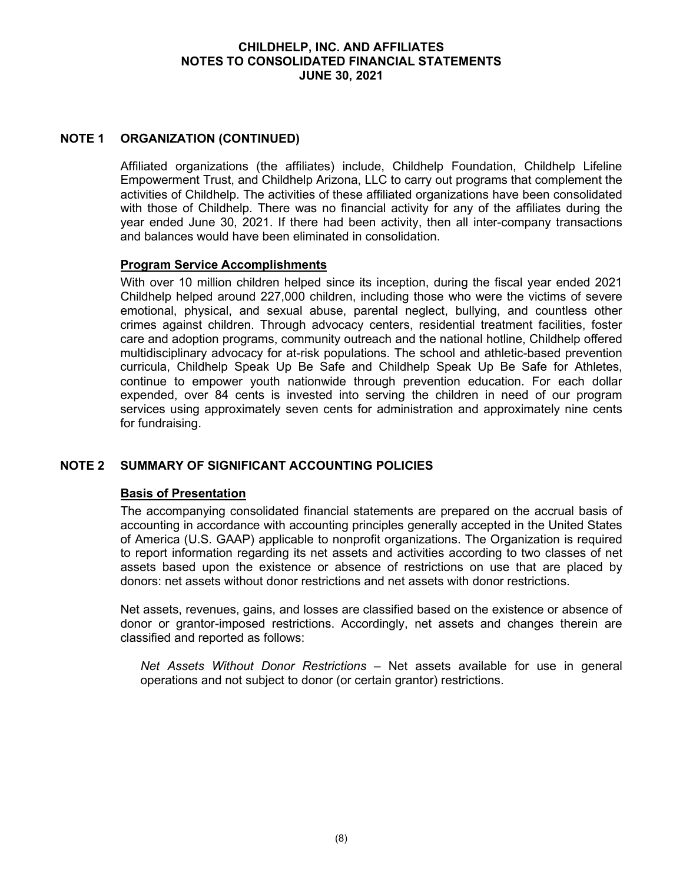## **NOTE 1 ORGANIZATION (CONTINUED)**

Affiliated organizations (the affiliates) include, Childhelp Foundation, Childhelp Lifeline Empowerment Trust, and Childhelp Arizona, LLC to carry out programs that complement the activities of Childhelp. The activities of these affiliated organizations have been consolidated with those of Childhelp. There was no financial activity for any of the affiliates during the year ended June 30, 2021. If there had been activity, then all inter-company transactions and balances would have been eliminated in consolidation.

## **Program Service Accomplishments**

With over 10 million children helped since its inception, during the fiscal year ended 2021 Childhelp helped around 227,000 children, including those who were the victims of severe emotional, physical, and sexual abuse, parental neglect, bullying, and countless other crimes against children. Through advocacy centers, residential treatment facilities, foster care and adoption programs, community outreach and the national hotline, Childhelp offered multidisciplinary advocacy for at-risk populations. The school and athletic-based prevention curricula, Childhelp Speak Up Be Safe and Childhelp Speak Up Be Safe for Athletes, continue to empower youth nationwide through prevention education. For each dollar expended, over 84 cents is invested into serving the children in need of our program services using approximately seven cents for administration and approximately nine cents for fundraising.

# **NOTE 2 SUMMARY OF SIGNIFICANT ACCOUNTING POLICIES**

#### **Basis of Presentation**

The accompanying consolidated financial statements are prepared on the accrual basis of accounting in accordance with accounting principles generally accepted in the United States of America (U.S. GAAP) applicable to nonprofit organizations. The Organization is required to report information regarding its net assets and activities according to two classes of net assets based upon the existence or absence of restrictions on use that are placed by donors: net assets without donor restrictions and net assets with donor restrictions.

Net assets, revenues, gains, and losses are classified based on the existence or absence of donor or grantor-imposed restrictions. Accordingly, net assets and changes therein are classified and reported as follows:

*Net Assets Without Donor Restrictions –* Net assets available for use in general operations and not subject to donor (or certain grantor) restrictions.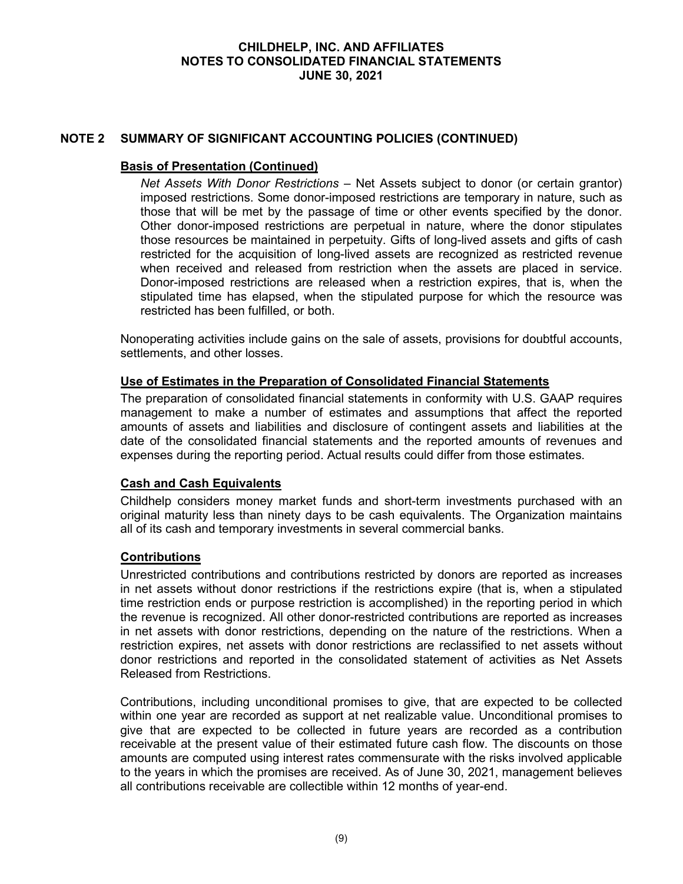## **NOTE 2 SUMMARY OF SIGNIFICANT ACCOUNTING POLICIES (CONTINUED)**

#### **Basis of Presentation (Continued)**

*Net Assets With Donor Restrictions –* Net Assets subject to donor (or certain grantor) imposed restrictions. Some donor-imposed restrictions are temporary in nature, such as those that will be met by the passage of time or other events specified by the donor. Other donor-imposed restrictions are perpetual in nature, where the donor stipulates those resources be maintained in perpetuity. Gifts of long-lived assets and gifts of cash restricted for the acquisition of long-lived assets are recognized as restricted revenue when received and released from restriction when the assets are placed in service. Donor-imposed restrictions are released when a restriction expires, that is, when the stipulated time has elapsed, when the stipulated purpose for which the resource was restricted has been fulfilled, or both.

Nonoperating activities include gains on the sale of assets, provisions for doubtful accounts, settlements, and other losses.

#### **Use of Estimates in the Preparation of Consolidated Financial Statements**

The preparation of consolidated financial statements in conformity with U.S. GAAP requires management to make a number of estimates and assumptions that affect the reported amounts of assets and liabilities and disclosure of contingent assets and liabilities at the date of the consolidated financial statements and the reported amounts of revenues and expenses during the reporting period. Actual results could differ from those estimates.

#### **Cash and Cash Equivalents**

Childhelp considers money market funds and short-term investments purchased with an original maturity less than ninety days to be cash equivalents. The Organization maintains all of its cash and temporary investments in several commercial banks.

#### **Contributions**

Unrestricted contributions and contributions restricted by donors are reported as increases in net assets without donor restrictions if the restrictions expire (that is, when a stipulated time restriction ends or purpose restriction is accomplished) in the reporting period in which the revenue is recognized. All other donor-restricted contributions are reported as increases in net assets with donor restrictions, depending on the nature of the restrictions. When a restriction expires, net assets with donor restrictions are reclassified to net assets without donor restrictions and reported in the consolidated statement of activities as Net Assets Released from Restrictions.

Contributions, including unconditional promises to give, that are expected to be collected within one year are recorded as support at net realizable value. Unconditional promises to give that are expected to be collected in future years are recorded as a contribution receivable at the present value of their estimated future cash flow. The discounts on those amounts are computed using interest rates commensurate with the risks involved applicable to the years in which the promises are received. As of June 30, 2021, management believes all contributions receivable are collectible within 12 months of year-end.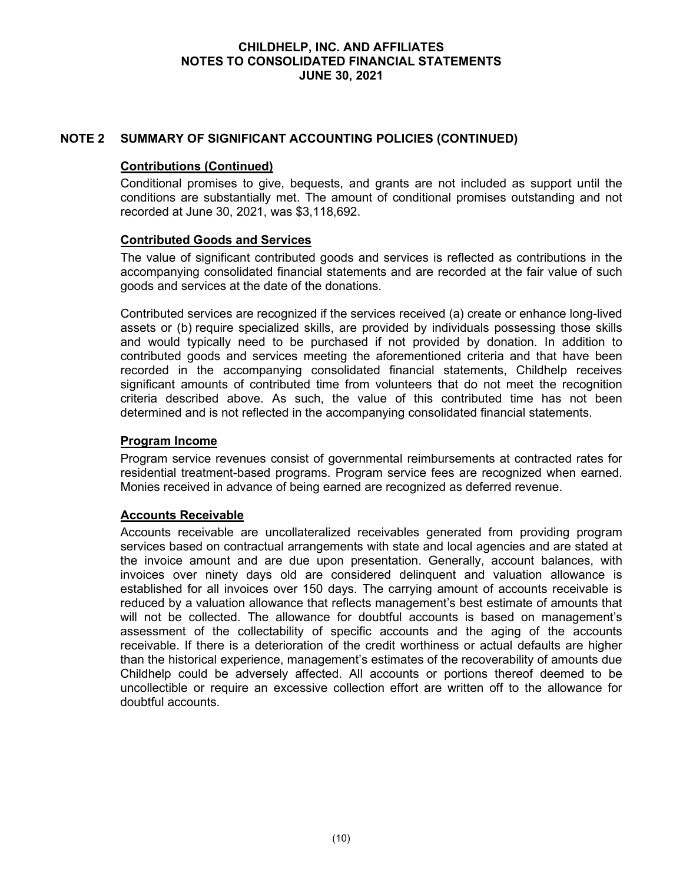## **NOTE 2 SUMMARY OF SIGNIFICANT ACCOUNTING POLICIES (CONTINUED)**

#### **Contributions (Continued)**

Conditional promises to give, bequests, and grants are not included as support until the conditions are substantially met. The amount of conditional promises outstanding and not recorded at June 30, 2021, was \$3,118,692.

## **Contributed Goods and Services**

The value of significant contributed goods and services is reflected as contributions in the accompanying consolidated financial statements and are recorded at the fair value of such goods and services at the date of the donations.

Contributed services are recognized if the services received (a) create or enhance long-lived assets or (b) require specialized skills, are provided by individuals possessing those skills and would typically need to be purchased if not provided by donation. In addition to contributed goods and services meeting the aforementioned criteria and that have been recorded in the accompanying consolidated financial statements, Childhelp receives significant amounts of contributed time from volunteers that do not meet the recognition criteria described above. As such, the value of this contributed time has not been determined and is not reflected in the accompanying consolidated financial statements.

## **Program Income**

Program service revenues consist of governmental reimbursements at contracted rates for residential treatment-based programs. Program service fees are recognized when earned. Monies received in advance of being earned are recognized as deferred revenue.

#### **Accounts Receivable**

Accounts receivable are uncollateralized receivables generated from providing program services based on contractual arrangements with state and local agencies and are stated at the invoice amount and are due upon presentation. Generally, account balances, with invoices over ninety days old are considered delinquent and valuation allowance is established for all invoices over 150 days. The carrying amount of accounts receivable is reduced by a valuation allowance that reflects management's best estimate of amounts that will not be collected. The allowance for doubtful accounts is based on management's assessment of the collectability of specific accounts and the aging of the accounts receivable. If there is a deterioration of the credit worthiness or actual defaults are higher than the historical experience, management's estimates of the recoverability of amounts due Childhelp could be adversely affected. All accounts or portions thereof deemed to be uncollectible or require an excessive collection effort are written off to the allowance for doubtful accounts.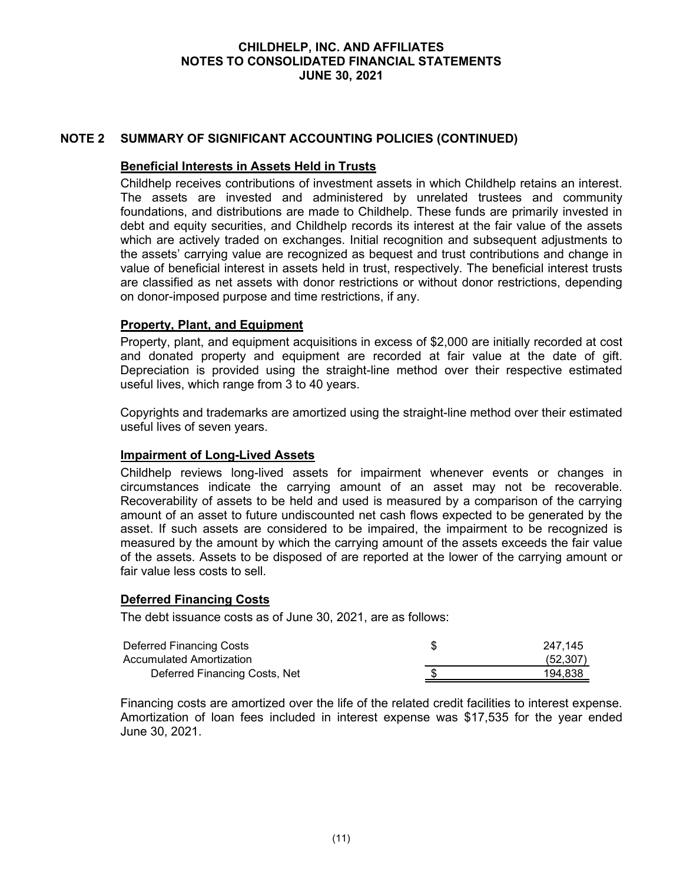## **NOTE 2 SUMMARY OF SIGNIFICANT ACCOUNTING POLICIES (CONTINUED)**

#### **Beneficial Interests in Assets Held in Trusts**

Childhelp receives contributions of investment assets in which Childhelp retains an interest. The assets are invested and administered by unrelated trustees and community foundations, and distributions are made to Childhelp. These funds are primarily invested in debt and equity securities, and Childhelp records its interest at the fair value of the assets which are actively traded on exchanges. Initial recognition and subsequent adjustments to the assets' carrying value are recognized as bequest and trust contributions and change in value of beneficial interest in assets held in trust, respectively. The beneficial interest trusts are classified as net assets with donor restrictions or without donor restrictions, depending on donor-imposed purpose and time restrictions, if any.

#### **Property, Plant, and Equipment**

Property, plant, and equipment acquisitions in excess of \$2,000 are initially recorded at cost and donated property and equipment are recorded at fair value at the date of gift. Depreciation is provided using the straight-line method over their respective estimated useful lives, which range from 3 to 40 years.

Copyrights and trademarks are amortized using the straight-line method over their estimated useful lives of seven years.

#### **Impairment of Long-Lived Assets**

Childhelp reviews long-lived assets for impairment whenever events or changes in circumstances indicate the carrying amount of an asset may not be recoverable. Recoverability of assets to be held and used is measured by a comparison of the carrying amount of an asset to future undiscounted net cash flows expected to be generated by the asset. If such assets are considered to be impaired, the impairment to be recognized is measured by the amount by which the carrying amount of the assets exceeds the fair value of the assets. Assets to be disposed of are reported at the lower of the carrying amount or fair value less costs to sell.

#### **Deferred Financing Costs**

The debt issuance costs as of June 30, 2021, are as follows:

| Deferred Financing Costs      | 247.145   |
|-------------------------------|-----------|
| Accumulated Amortization      | (52, 307) |
| Deferred Financing Costs, Net | 194,838   |

Financing costs are amortized over the life of the related credit facilities to interest expense. Amortization of loan fees included in interest expense was \$17,535 for the year ended June 30, 2021.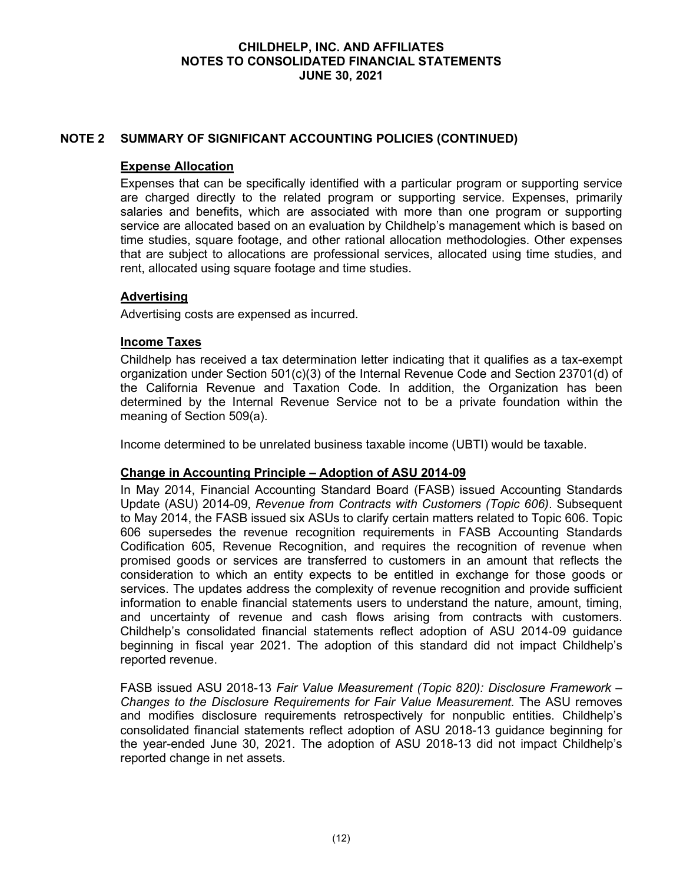## **NOTE 2 SUMMARY OF SIGNIFICANT ACCOUNTING POLICIES (CONTINUED)**

#### **Expense Allocation**

Expenses that can be specifically identified with a particular program or supporting service are charged directly to the related program or supporting service. Expenses, primarily salaries and benefits, which are associated with more than one program or supporting service are allocated based on an evaluation by Childhelp's management which is based on time studies, square footage, and other rational allocation methodologies. Other expenses that are subject to allocations are professional services, allocated using time studies, and rent, allocated using square footage and time studies.

## **Advertising**

Advertising costs are expensed as incurred.

#### **Income Taxes**

Childhelp has received a tax determination letter indicating that it qualifies as a tax-exempt organization under Section 501(c)(3) of the Internal Revenue Code and Section 23701(d) of the California Revenue and Taxation Code. In addition, the Organization has been determined by the Internal Revenue Service not to be a private foundation within the meaning of Section 509(a).

Income determined to be unrelated business taxable income (UBTI) would be taxable.

#### **Change in Accounting Principle – Adoption of ASU 2014-09**

In May 2014, Financial Accounting Standard Board (FASB) issued Accounting Standards Update (ASU) 2014-09, *Revenue from Contracts with Customers (Topic 606)*. Subsequent to May 2014, the FASB issued six ASUs to clarify certain matters related to Topic 606. Topic 606 supersedes the revenue recognition requirements in FASB Accounting Standards Codification 605, Revenue Recognition, and requires the recognition of revenue when promised goods or services are transferred to customers in an amount that reflects the consideration to which an entity expects to be entitled in exchange for those goods or services. The updates address the complexity of revenue recognition and provide sufficient information to enable financial statements users to understand the nature, amount, timing, and uncertainty of revenue and cash flows arising from contracts with customers. Childhelp's consolidated financial statements reflect adoption of ASU 2014-09 guidance beginning in fiscal year 2021. The adoption of this standard did not impact Childhelp's reported revenue.

FASB issued ASU 2018-13 *Fair Value Measurement (Topic 820): Disclosure Framework – Changes to the Disclosure Requirements for Fair Value Measurement.* The ASU removes and modifies disclosure requirements retrospectively for nonpublic entities. Childhelp's consolidated financial statements reflect adoption of ASU 2018-13 guidance beginning for the year-ended June 30, 2021. The adoption of ASU 2018-13 did not impact Childhelp's reported change in net assets.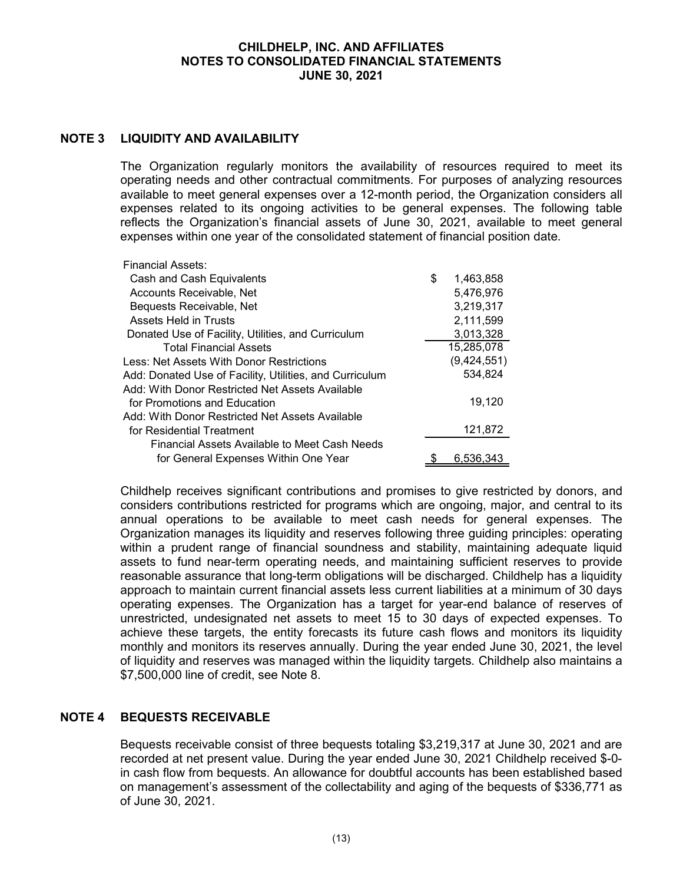#### **NOTE 3 LIQUIDITY AND AVAILABILITY**

The Organization regularly monitors the availability of resources required to meet its operating needs and other contractual commitments. For purposes of analyzing resources available to meet general expenses over a 12-month period, the Organization considers all expenses related to its ongoing activities to be general expenses. The following table reflects the Organization's financial assets of June 30, 2021, available to meet general expenses within one year of the consolidated statement of financial position date.

| Financial Assets:                                       |                 |
|---------------------------------------------------------|-----------------|
| Cash and Cash Equivalents                               | \$<br>1,463,858 |
| Accounts Receivable, Net                                | 5,476,976       |
| Bequests Receivable, Net                                | 3,219,317       |
| Assets Held in Trusts                                   | 2,111,599       |
| Donated Use of Facility, Utilities, and Curriculum      | 3,013,328       |
| <b>Total Financial Assets</b>                           | 15,285,078      |
| Less: Net Assets With Donor Restrictions                | (9,424,551)     |
| Add: Donated Use of Facility, Utilities, and Curriculum | 534,824         |
| Add: With Donor Restricted Net Assets Available         |                 |
| for Promotions and Education                            | 19,120          |
| Add: With Donor Restricted Net Assets Available         |                 |
| for Residential Treatment                               | 121,872         |
| Financial Assets Available to Meet Cash Needs           |                 |
| for General Expenses Within One Year                    | 6.536.343       |

Childhelp receives significant contributions and promises to give restricted by donors, and considers contributions restricted for programs which are ongoing, major, and central to its annual operations to be available to meet cash needs for general expenses. The Organization manages its liquidity and reserves following three guiding principles: operating within a prudent range of financial soundness and stability, maintaining adequate liquid assets to fund near-term operating needs, and maintaining sufficient reserves to provide reasonable assurance that long-term obligations will be discharged. Childhelp has a liquidity approach to maintain current financial assets less current liabilities at a minimum of 30 days operating expenses. The Organization has a target for year-end balance of reserves of unrestricted, undesignated net assets to meet 15 to 30 days of expected expenses. To achieve these targets, the entity forecasts its future cash flows and monitors its liquidity monthly and monitors its reserves annually. During the year ended June 30, 2021, the level of liquidity and reserves was managed within the liquidity targets. Childhelp also maintains a \$7,500,000 line of credit, see Note 8.

#### **NOTE 4 BEQUESTS RECEIVABLE**

Bequests receivable consist of three bequests totaling \$3,219,317 at June 30, 2021 and are recorded at net present value. During the year ended June 30, 2021 Childhelp received \$-0 in cash flow from bequests. An allowance for doubtful accounts has been established based on management's assessment of the collectability and aging of the bequests of \$336,771 as of June 30, 2021.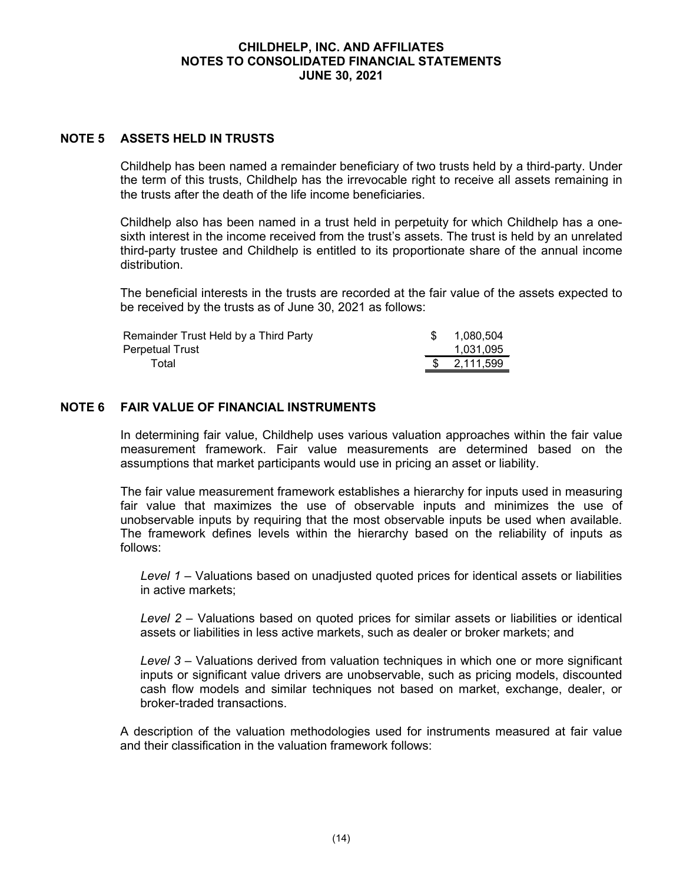#### **NOTE 5 ASSETS HELD IN TRUSTS**

Childhelp has been named a remainder beneficiary of two trusts held by a third-party. Under the term of this trusts, Childhelp has the irrevocable right to receive all assets remaining in the trusts after the death of the life income beneficiaries.

Childhelp also has been named in a trust held in perpetuity for which Childhelp has a onesixth interest in the income received from the trust's assets. The trust is held by an unrelated third-party trustee and Childhelp is entitled to its proportionate share of the annual income distribution.

The beneficial interests in the trusts are recorded at the fair value of the assets expected to be received by the trusts as of June 30, 2021 as follows:

| Remainder Trust Held by a Third Party | 1.080.504 |
|---------------------------------------|-----------|
| Perpetual Trust                       | 1.031.095 |
| Total                                 | 2.111.599 |

## **NOTE 6 FAIR VALUE OF FINANCIAL INSTRUMENTS**

In determining fair value, Childhelp uses various valuation approaches within the fair value measurement framework. Fair value measurements are determined based on the assumptions that market participants would use in pricing an asset or liability.

The fair value measurement framework establishes a hierarchy for inputs used in measuring fair value that maximizes the use of observable inputs and minimizes the use of unobservable inputs by requiring that the most observable inputs be used when available. The framework defines levels within the hierarchy based on the reliability of inputs as follows:

*Level 1 –* Valuations based on unadjusted quoted prices for identical assets or liabilities in active markets;

*Level 2* – Valuations based on quoted prices for similar assets or liabilities or identical assets or liabilities in less active markets, such as dealer or broker markets; and

*Level 3* – Valuations derived from valuation techniques in which one or more significant inputs or significant value drivers are unobservable, such as pricing models, discounted cash flow models and similar techniques not based on market, exchange, dealer, or broker-traded transactions.

A description of the valuation methodologies used for instruments measured at fair value and their classification in the valuation framework follows: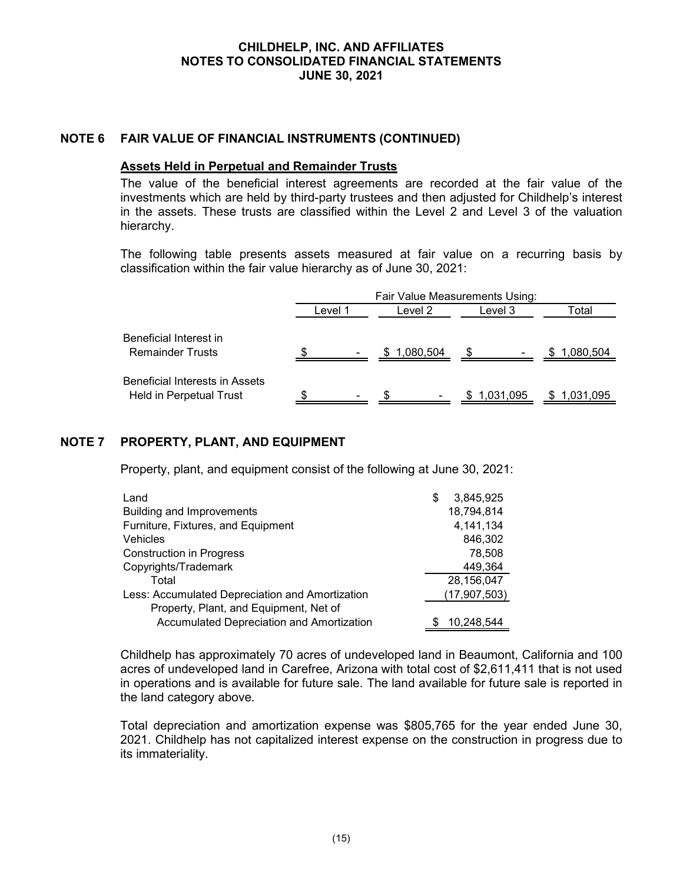#### **NOTE 6 FAIR VALUE OF FINANCIAL INSTRUMENTS (CONTINUED)**

#### **Assets Held in Perpetual and Remainder Trusts**

The value of the beneficial interest agreements are recorded at the fair value of the investments which are held by third-party trustees and then adjusted for Childhelp's interest in the assets. These trusts are classified within the Level 2 and Level 3 of the valuation hierarchy.

The following table presents assets measured at fair value on a recurring basis by classification within the fair value hierarchy as of June 30, 2021:

|                                                           |         |                |             | Fair Value Measurements Using: |   |                  |
|-----------------------------------------------------------|---------|----------------|-------------|--------------------------------|---|------------------|
|                                                           | Level 1 |                | Level 2     | Level 3                        |   | Total            |
| Beneficial Interest in<br><b>Remainder Trusts</b>         |         | ۰              | \$1,080,504 |                                | ٠ | 1,080,504<br>SS. |
| Beneficial Interests in Assets<br>Held in Perpetual Trust |         | $\blacksquare$ |             | \$1,031,095                    |   | \$1,031,095      |

# **NOTE 7 PROPERTY, PLANT, AND EQUIPMENT**

Property, plant, and equipment consist of the following at June 30, 2021:

| Land                                            | S | 3,845,925      |
|-------------------------------------------------|---|----------------|
| <b>Building and Improvements</b>                |   | 18,794,814     |
| Furniture, Fixtures, and Equipment              |   | 4,141,134      |
| Vehicles                                        |   | 846,302        |
| <b>Construction in Progress</b>                 |   | 78,508         |
| Copyrights/Trademark                            |   | 449,364        |
| Total                                           |   | 28,156,047     |
| Less: Accumulated Depreciation and Amortization |   | (17, 907, 503) |
| Property, Plant, and Equipment, Net of          |   |                |
| Accumulated Depreciation and Amortization       |   | 10,248,544     |
|                                                 |   |                |

Childhelp has approximately 70 acres of undeveloped land in Beaumont, California and 100 acres of undeveloped land in Carefree, Arizona with total cost of \$2,611,411 that is not used in operations and is available for future sale. The land available for future sale is reported in the land category above.

Total depreciation and amortization expense was \$805,765 for the year ended June 30, 2021. Childhelp has not capitalized interest expense on the construction in progress due to its immateriality.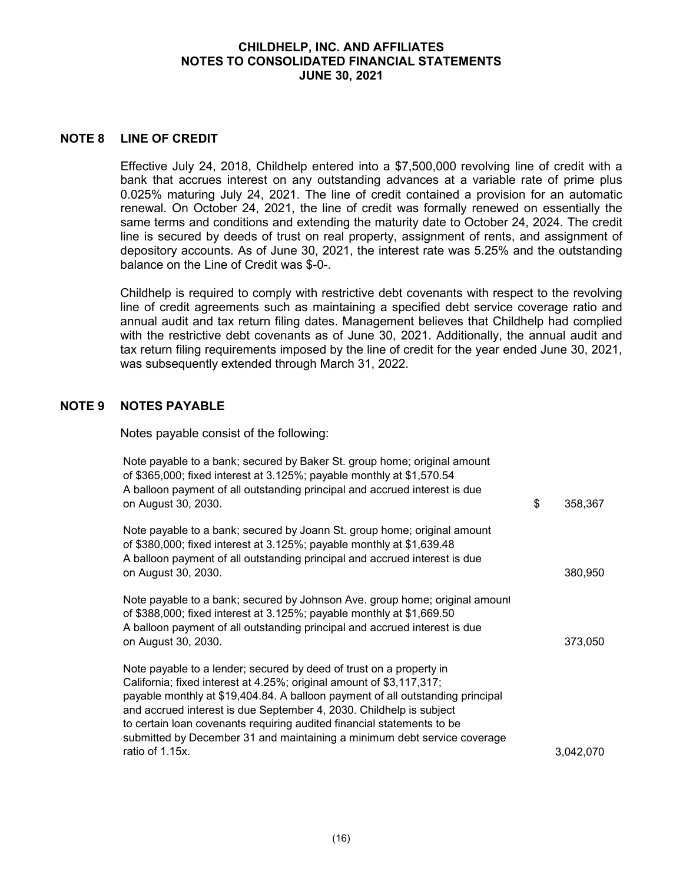#### **NOTE 8 LINE OF CREDIT**

Effective July 24, 2018, Childhelp entered into a \$7,500,000 revolving line of credit with a bank that accrues interest on any outstanding advances at a variable rate of prime plus 0.025% maturing July 24, 2021. The line of credit contained a provision for an automatic renewal. On October 24, 2021, the line of credit was formally renewed on essentially the same terms and conditions and extending the maturity date to October 24, 2024. The credit line is secured by deeds of trust on real property, assignment of rents, and assignment of depository accounts. As of June 30, 2021, the interest rate was 5.25% and the outstanding balance on the Line of Credit was \$-0-.

Childhelp is required to comply with restrictive debt covenants with respect to the revolving line of credit agreements such as maintaining a specified debt service coverage ratio and annual audit and tax return filing dates. Management believes that Childhelp had complied with the restrictive debt covenants as of June 30, 2021. Additionally, the annual audit and tax return filing requirements imposed by the line of credit for the year ended June 30, 2021, was subsequently extended through March 31, 2022.

## **NOTE 9 NOTES PAYABLE**

Notes payable consist of the following:

| Note payable to a bank; secured by Baker St. group home; original amount<br>of \$365,000; fixed interest at 3.125%; payable monthly at \$1,570.54<br>A balloon payment of all outstanding principal and accrued interest is due                                                                                                                                                                                                                            |               |
|------------------------------------------------------------------------------------------------------------------------------------------------------------------------------------------------------------------------------------------------------------------------------------------------------------------------------------------------------------------------------------------------------------------------------------------------------------|---------------|
| on August 30, 2030.                                                                                                                                                                                                                                                                                                                                                                                                                                        | \$<br>358,367 |
| Note payable to a bank; secured by Joann St. group home; original amount<br>of \$380,000; fixed interest at 3.125%; payable monthly at \$1,639.48<br>A balloon payment of all outstanding principal and accrued interest is due                                                                                                                                                                                                                            |               |
| on August 30, 2030.                                                                                                                                                                                                                                                                                                                                                                                                                                        | 380,950       |
| Note payable to a bank; secured by Johnson Ave. group home; original amount<br>of \$388,000; fixed interest at 3.125%; payable monthly at \$1,669.50<br>A balloon payment of all outstanding principal and accrued interest is due                                                                                                                                                                                                                         |               |
| on August 30, 2030.                                                                                                                                                                                                                                                                                                                                                                                                                                        | 373,050       |
| Note payable to a lender; secured by deed of trust on a property in<br>California; fixed interest at 4.25%; original amount of \$3,117,317;<br>payable monthly at \$19,404.84. A balloon payment of all outstanding principal<br>and accrued interest is due September 4, 2030. Childhelp is subject<br>to certain loan covenants requiring audited financial statements to be<br>submitted by December 31 and maintaining a minimum debt service coverage |               |
| ratio of 1.15x.                                                                                                                                                                                                                                                                                                                                                                                                                                            | 3,042,070     |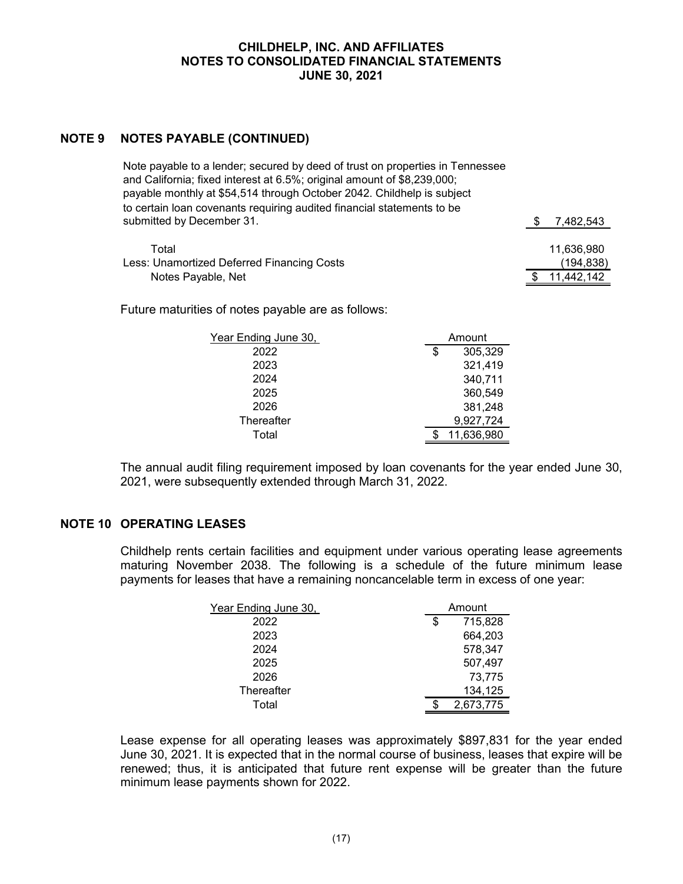## **NOTE 9 NOTES PAYABLE (CONTINUED)**

to certain loan covenants requiring audited financial statements to be submitted by December 31. Note payable to a lender; secured by deed of trust on properties in Tennessee and California; fixed interest at 6.5%; original amount of \$8,239,000; payable monthly at \$54,514 through October 2042. Childhelp is subject

| $\tau$ otal                                | 11.636.980   |
|--------------------------------------------|--------------|
| Less: Unamortized Deferred Financing Costs | (194, 838)   |
| Notes Payable, Net                         | \$11.442.142 |

\$ 7,482,543

Future maturities of notes payable are as follows:

| Year Ending June 30, | Amount        |            |  |
|----------------------|---------------|------------|--|
| 2022                 | 305,329<br>\$ |            |  |
| 2023                 |               | 321,419    |  |
| 2024                 |               | 340,711    |  |
| 2025                 |               | 360,549    |  |
| 2026                 |               | 381,248    |  |
| Thereafter           |               | 9,927,724  |  |
| Total                |               | 11,636,980 |  |

The annual audit filing requirement imposed by loan covenants for the year ended June 30, 2021, were subsequently extended through March 31, 2022.

#### **NOTE 10 OPERATING LEASES**

Childhelp rents certain facilities and equipment under various operating lease agreements maturing November 2038. The following is a schedule of the future minimum lease payments for leases that have a remaining noncancelable term in excess of one year:

| Year Ending June 30, | Amount        |  |  |
|----------------------|---------------|--|--|
| 2022                 | \$<br>715,828 |  |  |
| 2023                 | 664,203       |  |  |
| 2024                 | 578,347       |  |  |
| 2025                 | 507,497       |  |  |
| 2026                 | 73,775        |  |  |
| Thereafter           | 134,125       |  |  |
| Total                | 2,673,775     |  |  |

Lease expense for all operating leases was approximately \$897,831 for the year ended June 30, 2021. It is expected that in the normal course of business, leases that expire will be renewed; thus, it is anticipated that future rent expense will be greater than the future minimum lease payments shown for 2022.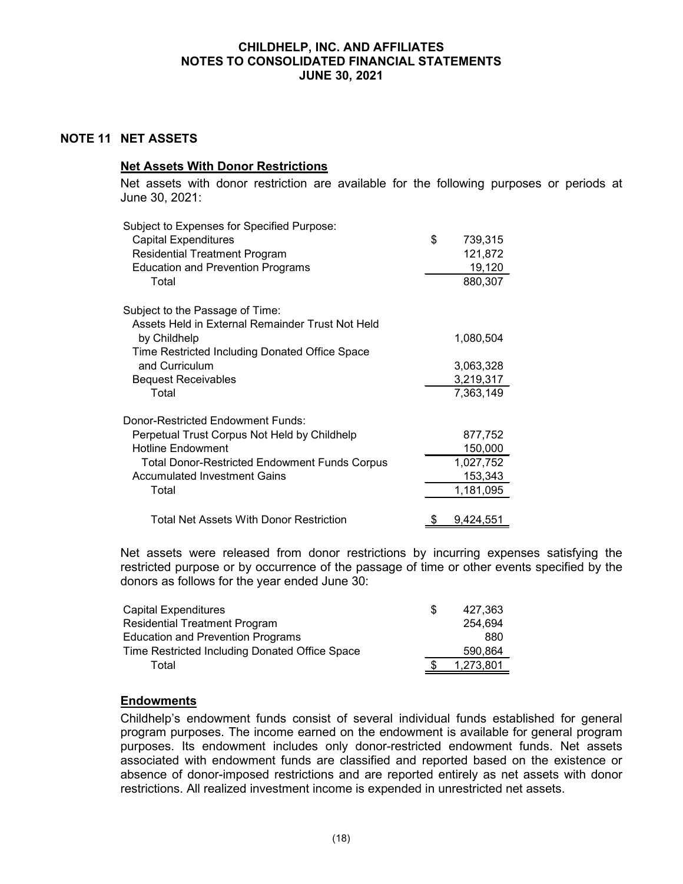## **NOTE 11 NET ASSETS**

#### **Net Assets With Donor Restrictions**

Net assets with donor restriction are available for the following purposes or periods at June 30, 2021:

| Subject to Expenses for Specified Purpose:           |               |
|------------------------------------------------------|---------------|
| <b>Capital Expenditures</b>                          | \$<br>739,315 |
| <b>Residential Treatment Program</b>                 | 121,872       |
| <b>Education and Prevention Programs</b>             | 19,120        |
| Total                                                | 880,307       |
| Subject to the Passage of Time:                      |               |
| Assets Held in External Remainder Trust Not Held     |               |
| by Childhelp                                         | 1,080,504     |
| Time Restricted Including Donated Office Space       |               |
| and Curriculum                                       | 3,063,328     |
| <b>Bequest Receivables</b>                           | 3,219,317     |
| Total                                                | 7,363,149     |
| Donor-Restricted Endowment Funds:                    |               |
| Perpetual Trust Corpus Not Held by Childhelp         | 877,752       |
| <b>Hotline Endowment</b>                             | 150,000       |
| <b>Total Donor-Restricted Endowment Funds Corpus</b> | 1,027,752     |
| <b>Accumulated Investment Gains</b>                  | 153,343       |
| Total                                                | 1,181,095     |
| Total Net Assets With Donor Restriction              | 9,424,551     |

Net assets were released from donor restrictions by incurring expenses satisfying the restricted purpose or by occurrence of the passage of time or other events specified by the donors as follows for the year ended June 30:

| <b>Capital Expenditures</b>                    | S | 427.363   |
|------------------------------------------------|---|-----------|
| <b>Residential Treatment Program</b>           |   | 254.694   |
| Education and Prevention Programs              |   | 880       |
| Time Restricted Including Donated Office Space |   | 590,864   |
| Total                                          |   | 1.273.801 |

#### **Endowments**

Childhelp's endowment funds consist of several individual funds established for general program purposes. The income earned on the endowment is available for general program purposes. Its endowment includes only donor-restricted endowment funds. Net assets associated with endowment funds are classified and reported based on the existence or absence of donor-imposed restrictions and are reported entirely as net assets with donor restrictions. All realized investment income is expended in unrestricted net assets.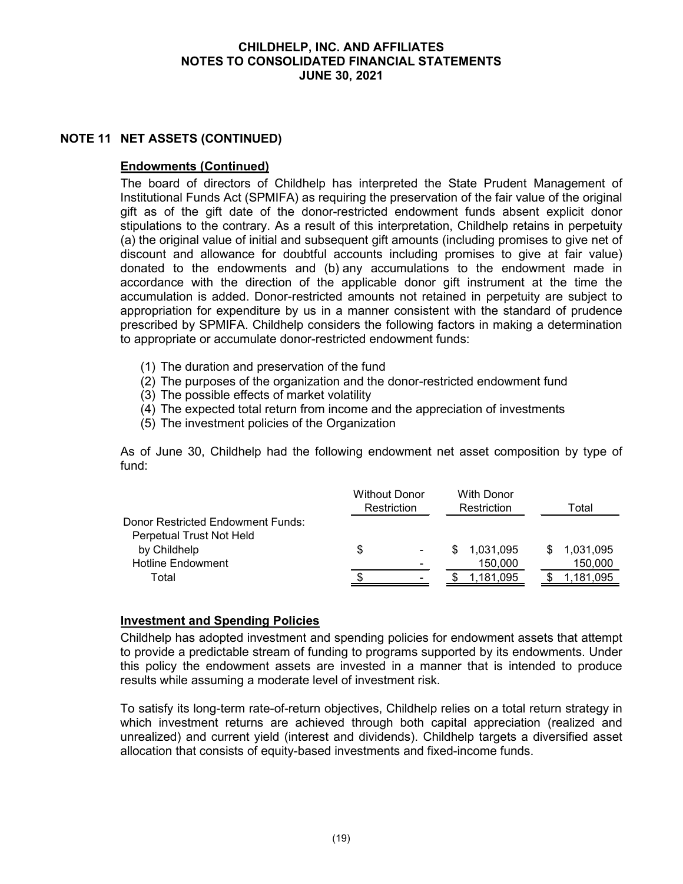#### **NOTE 11 NET ASSETS (CONTINUED)**

#### **Endowments (Continued)**

The board of directors of Childhelp has interpreted the State Prudent Management of Institutional Funds Act (SPMIFA) as requiring the preservation of the fair value of the original gift as of the gift date of the donor-restricted endowment funds absent explicit donor stipulations to the contrary. As a result of this interpretation, Childhelp retains in perpetuity (a) the original value of initial and subsequent gift amounts (including promises to give net of discount and allowance for doubtful accounts including promises to give at fair value) donated to the endowments and (b) any accumulations to the endowment made in accordance with the direction of the applicable donor gift instrument at the time the accumulation is added. Donor-restricted amounts not retained in perpetuity are subject to appropriation for expenditure by us in a manner consistent with the standard of prudence prescribed by SPMIFA. Childhelp considers the following factors in making a determination to appropriate or accumulate donor-restricted endowment funds:

- (1) The duration and preservation of the fund
- (2) The purposes of the organization and the donor-restricted endowment fund
- (3) The possible effects of market volatility
- (4) The expected total return from income and the appreciation of investments
- (5) The investment policies of the Organization

As of June 30, Childhelp had the following endowment net asset composition by type of fund:

|                                   | <b>Without Donor</b><br>Restriction |  | With Donor<br>Restriction | Total           |
|-----------------------------------|-------------------------------------|--|---------------------------|-----------------|
| Donor Restricted Endowment Funds: |                                     |  |                           |                 |
| Perpetual Trust Not Held          |                                     |  |                           |                 |
| by Childhelp                      | S                                   |  | 1,031,095<br>SS.          | 1,031,095<br>S. |
| <b>Hotline Endowment</b>          |                                     |  | 150,000                   | 150,000         |
| Total                             |                                     |  | 1.181.095                 | 1.181.095       |

## **Investment and Spending Policies**

Childhelp has adopted investment and spending policies for endowment assets that attempt to provide a predictable stream of funding to programs supported by its endowments. Under this policy the endowment assets are invested in a manner that is intended to produce results while assuming a moderate level of investment risk.

To satisfy its long-term rate-of-return objectives, Childhelp relies on a total return strategy in which investment returns are achieved through both capital appreciation (realized and unrealized) and current yield (interest and dividends). Childhelp targets a diversified asset allocation that consists of equity-based investments and fixed-income funds.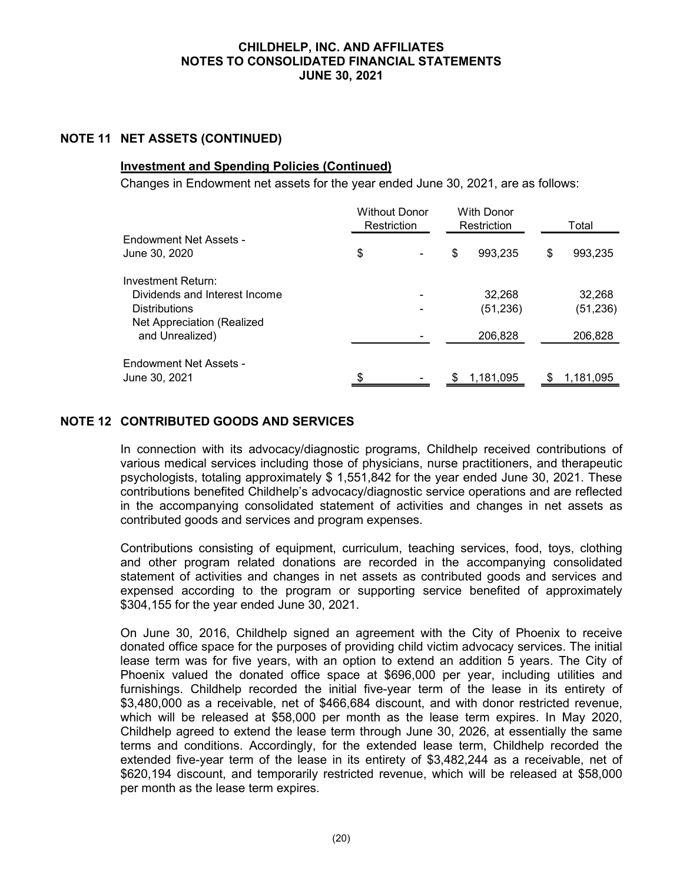## **NOTE 11 NET ASSETS (CONTINUED)**

#### **Investment and Spending Policies (Continued)**

Changes in Endowment net assets for the year ended June 30, 2021, are as follows:

|                                                                             | <b>Without Donor</b><br>Restriction |    | <b>With Donor</b><br>Restriction |    | Total              |  |
|-----------------------------------------------------------------------------|-------------------------------------|----|----------------------------------|----|--------------------|--|
| Endowment Net Assets -<br>June 30, 2020                                     | \$                                  | \$ | 993,235                          | \$ | 993,235            |  |
| Investment Return:<br>Dividends and Interest Income<br><b>Distributions</b> |                                     |    | 32.268<br>(51, 236)              |    | 32,268<br>(51,236) |  |
| <b>Net Appreciation (Realized</b><br>and Unrealized)                        |                                     |    | 206,828                          |    | 206,828            |  |
| Endowment Net Assets -<br>June 30, 2021                                     |                                     |    | 1,181,095                        |    | 1,181,095          |  |

## **NOTE 12 CONTRIBUTED GOODS AND SERVICES**

In connection with its advocacy/diagnostic programs, Childhelp received contributions of various medical services including those of physicians, nurse practitioners, and therapeutic psychologists, totaling approximately \$ 1,551,842 for the year ended June 30, 2021. These contributions benefited Childhelp's advocacy/diagnostic service operations and are reflected in the accompanying consolidated statement of activities and changes in net assets as contributed goods and services and program expenses.

Contributions consisting of equipment, curriculum, teaching services, food, toys, clothing and other program related donations are recorded in the accompanying consolidated statement of activities and changes in net assets as contributed goods and services and expensed according to the program or supporting service benefited of approximately \$304,155 for the year ended June 30, 2021.

On June 30, 2016, Childhelp signed an agreement with the City of Phoenix to receive donated office space for the purposes of providing child victim advocacy services. The initial lease term was for five years, with an option to extend an addition 5 years. The City of Phoenix valued the donated office space at \$696,000 per year, including utilities and furnishings. Childhelp recorded the initial five-year term of the lease in its entirety of \$3,480,000 as a receivable, net of \$466,684 discount, and with donor restricted revenue, which will be released at \$58,000 per month as the lease term expires. In May 2020, Childhelp agreed to extend the lease term through June 30, 2026, at essentially the same terms and conditions. Accordingly, for the extended lease term, Childhelp recorded the extended five-year term of the lease in its entirety of \$3,482,244 as a receivable, net of \$620,194 discount, and temporarily restricted revenue, which will be released at \$58,000 per month as the lease term expires.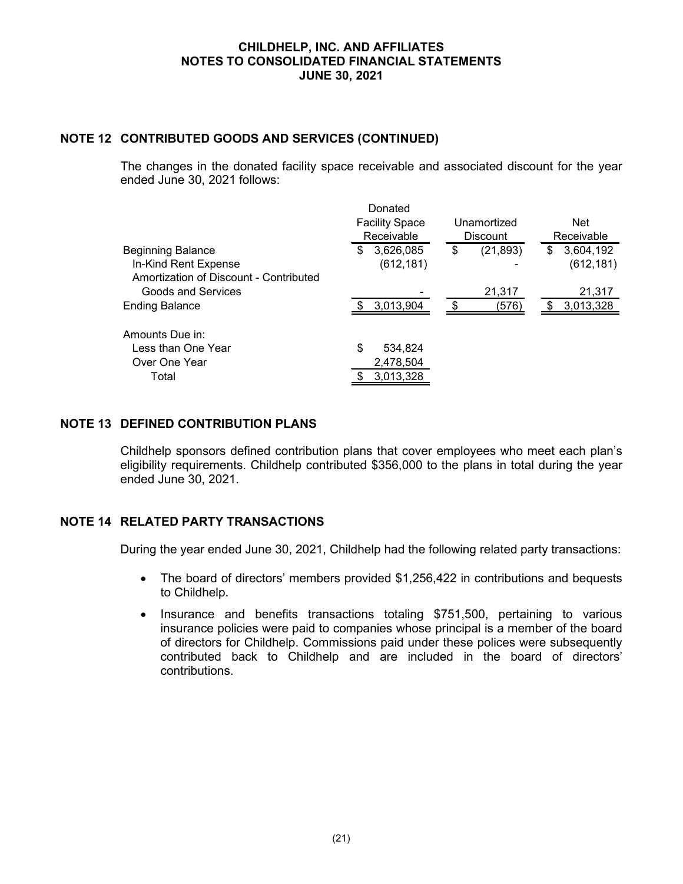#### **NOTE 12 CONTRIBUTED GOODS AND SERVICES (CONTINUED)**

The changes in the donated facility space receivable and associated discount for the year ended June 30, 2021 follows:

|                                        |                       | Donated    |             |                 |            |            |  |
|----------------------------------------|-----------------------|------------|-------------|-----------------|------------|------------|--|
|                                        | <b>Facility Space</b> |            | Unamortized |                 | <b>Net</b> |            |  |
|                                        |                       | Receivable |             | <b>Discount</b> |            | Receivable |  |
| Beginning Balance                      | 3,626,085<br>\$.      |            | \$          | (21, 893)       | S          | 3,604,192  |  |
| In-Kind Rent Expense                   |                       | (612, 181) |             |                 |            | (612, 181) |  |
| Amortization of Discount - Contributed |                       |            |             |                 |            |            |  |
| Goods and Services                     |                       |            |             | 21,317          |            | 21,317     |  |
| Ending Balance                         |                       | 3,013,904  | \$.         | (576)           |            | 3,013,328  |  |
| Amounts Due in:                        |                       |            |             |                 |            |            |  |
| Less than One Year                     | \$                    | 534,824    |             |                 |            |            |  |
| Over One Year                          |                       | 2,478,504  |             |                 |            |            |  |
| Total                                  |                       | 3,013,328  |             |                 |            |            |  |
|                                        |                       |            |             |                 |            |            |  |

## **NOTE 13 DEFINED CONTRIBUTION PLANS**

Childhelp sponsors defined contribution plans that cover employees who meet each plan's eligibility requirements. Childhelp contributed \$356,000 to the plans in total during the year ended June 30, 2021.

## **NOTE 14 RELATED PARTY TRANSACTIONS**

During the year ended June 30, 2021, Childhelp had the following related party transactions:

- The board of directors' members provided \$1,256,422 in contributions and bequests to Childhelp.
- Insurance and benefits transactions totaling \$751,500, pertaining to various insurance policies were paid to companies whose principal is a member of the board of directors for Childhelp. Commissions paid under these polices were subsequently contributed back to Childhelp and are included in the board of directors' contributions.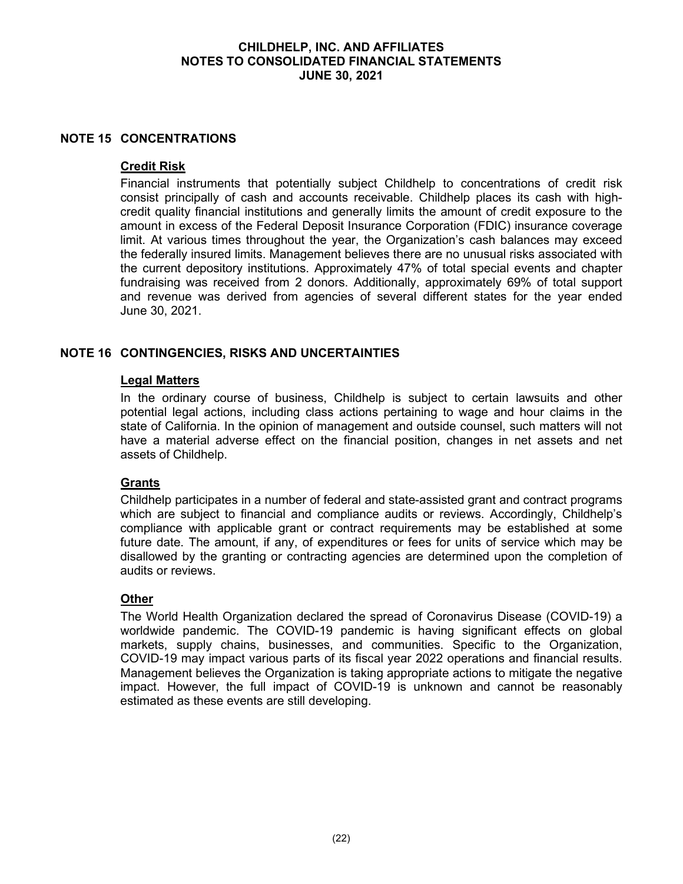#### **NOTE 15 CONCENTRATIONS**

#### **Credit Risk**

Financial instruments that potentially subject Childhelp to concentrations of credit risk consist principally of cash and accounts receivable. Childhelp places its cash with highcredit quality financial institutions and generally limits the amount of credit exposure to the amount in excess of the Federal Deposit Insurance Corporation (FDIC) insurance coverage limit. At various times throughout the year, the Organization's cash balances may exceed the federally insured limits. Management believes there are no unusual risks associated with the current depository institutions. Approximately 47% of total special events and chapter fundraising was received from 2 donors. Additionally, approximately 69% of total support and revenue was derived from agencies of several different states for the year ended June 30, 2021.

## **NOTE 16 CONTINGENCIES, RISKS AND UNCERTAINTIES**

#### **Legal Matters**

In the ordinary course of business, Childhelp is subject to certain lawsuits and other potential legal actions, including class actions pertaining to wage and hour claims in the state of California. In the opinion of management and outside counsel, such matters will not have a material adverse effect on the financial position, changes in net assets and net assets of Childhelp.

#### **Grants**

Childhelp participates in a number of federal and state-assisted grant and contract programs which are subject to financial and compliance audits or reviews. Accordingly, Childhelp's compliance with applicable grant or contract requirements may be established at some future date. The amount, if any, of expenditures or fees for units of service which may be disallowed by the granting or contracting agencies are determined upon the completion of audits or reviews.

#### **Other**

The World Health Organization declared the spread of Coronavirus Disease (COVID-19) a worldwide pandemic. The COVID-19 pandemic is having significant effects on global markets, supply chains, businesses, and communities. Specific to the Organization, COVID-19 may impact various parts of its fiscal year 2022 operations and financial results. Management believes the Organization is taking appropriate actions to mitigate the negative impact. However, the full impact of COVID-19 is unknown and cannot be reasonably estimated as these events are still developing.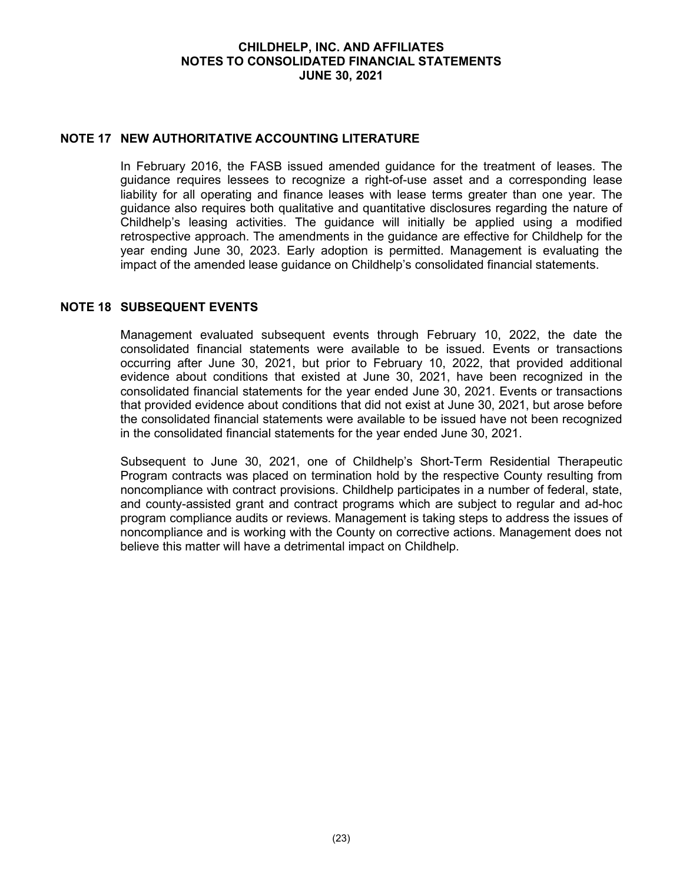#### **NOTE 17 NEW AUTHORITATIVE ACCOUNTING LITERATURE**

In February 2016, the FASB issued amended guidance for the treatment of leases. The guidance requires lessees to recognize a right-of-use asset and a corresponding lease liability for all operating and finance leases with lease terms greater than one year. The guidance also requires both qualitative and quantitative disclosures regarding the nature of Childhelp's leasing activities. The guidance will initially be applied using a modified retrospective approach. The amendments in the guidance are effective for Childhelp for the year ending June 30, 2023. Early adoption is permitted. Management is evaluating the impact of the amended lease guidance on Childhelp's consolidated financial statements.

## **NOTE 18 SUBSEQUENT EVENTS**

Management evaluated subsequent events through February 10, 2022, the date the consolidated financial statements were available to be issued. Events or transactions occurring after June 30, 2021, but prior to February 10, 2022, that provided additional evidence about conditions that existed at June 30, 2021, have been recognized in the consolidated financial statements for the year ended June 30, 2021. Events or transactions that provided evidence about conditions that did not exist at June 30, 2021, but arose before the consolidated financial statements were available to be issued have not been recognized in the consolidated financial statements for the year ended June 30, 2021.

Subsequent to June 30, 2021, one of Childhelp's Short-Term Residential Therapeutic Program contracts was placed on termination hold by the respective County resulting from noncompliance with contract provisions. Childhelp participates in a number of federal, state, and county-assisted grant and contract programs which are subject to regular and ad-hoc program compliance audits or reviews. Management is taking steps to address the issues of noncompliance and is working with the County on corrective actions. Management does not believe this matter will have a detrimental impact on Childhelp.